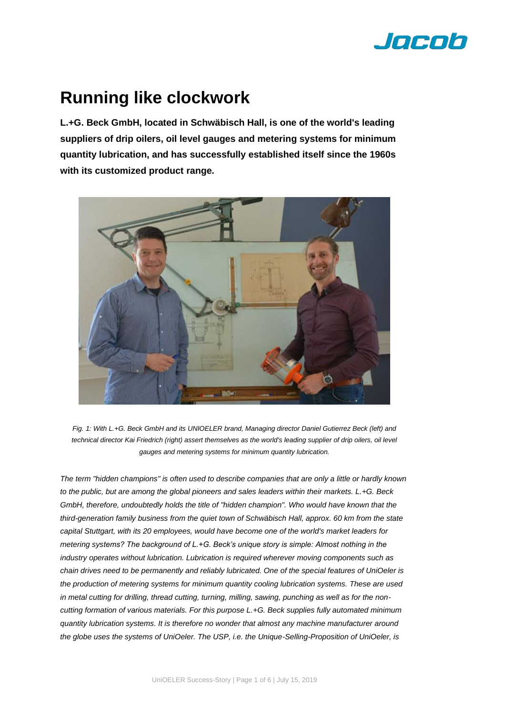

# **Running like clockwork**

**L.+G. Beck GmbH, located in Schwäbisch Hall, is one of the world's leading suppliers of drip oilers, oil level gauges and metering systems for minimum quantity lubrication, and has successfully established itself since the 1960s with its customized product range.** 



*Fig. 1: With L.+G. Beck GmbH and its UNIOELER brand, Managing director Daniel Gutierrez Beck (left) and*  technical director Kai Friedrich (right) assert themselves as the world's leading supplier of drip oilers, oil level *gauges and metering systems for minimum quantity lubrication.* 

*The term "hidden champions" is often used to describe companies that are only a little or hardly known to the public, but are among the global pioneers and sales leaders within their markets. L.+G. Beck GmbH, therefore, undoubtedly holds the title of "hidden champion". Who would have known that the third-generation family business from the quiet town of Schwäbisch Hall, approx. 60 km from the state capital Stuttgart, with its 20 employees, would have become one of the world's market leaders for metering systems? The background of L.+G. Beck's unique story is simple: Almost nothing in the industry operates without lubrication. Lubrication is required wherever moving components such as chain drives need to be permanently and reliably lubricated. One of the special features of UniOeler is the production of metering systems for minimum quantity cooling lubrication systems. These are used in metal cutting for drilling, thread cutting, turning, milling, sawing, punching as well as for the noncutting formation of various materials. For this purpose L.+G. Beck supplies fully automated minimum quantity lubrication systems. It is therefore no wonder that almost any machine manufacturer around the globe uses the systems of UniOeler. The USP, i.e. the Unique-Selling-Proposition of UniOeler, is*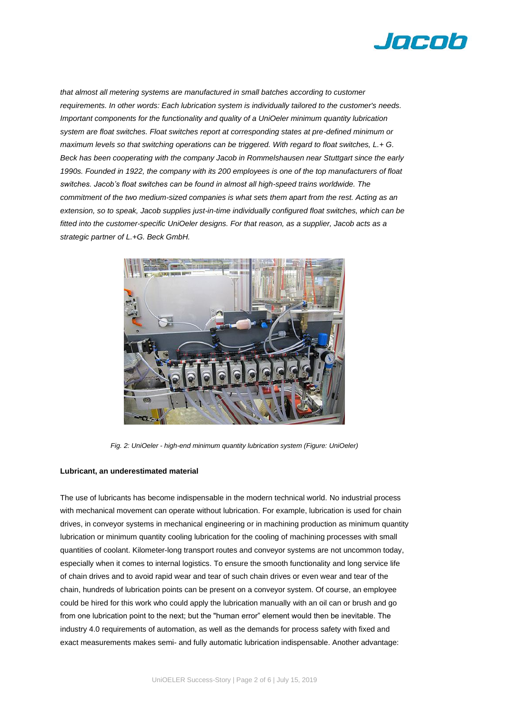

*that almost all metering systems are manufactured in small batches according to customer requirements. In other words: Each lubrication system is individually tailored to the customer's needs. Important components for the functionality and quality of a UniOeler minimum quantity lubrication system are float switches. Float switches report at corresponding states at pre-defined minimum or maximum levels so that switching operations can be triggered. With regard to float switches, L.+ G. Beck has been cooperating with the company Jacob in Rommelshausen near Stuttgart since the early 1990s. Founded in 1922, the company with its 200 employees is one of the top manufacturers of float switches. Jacob's float switches can be found in almost all high-speed trains worldwide. The commitment of the two medium-sized companies is what sets them apart from the rest. Acting as an extension, so to speak, Jacob supplies just-in-time individually configured float switches, which can be fitted into the customer-specific UniOeler designs. For that reason, as a supplier, Jacob acts as a strategic partner of L.+G. Beck GmbH.* 



*Fig. 2: UniOeler - high-end minimum quantity lubrication system (Figure: UniOeler)*

#### **Lubricant, an underestimated material**

The use of lubricants has become indispensable in the modern technical world. No industrial process with mechanical movement can operate without lubrication. For example, lubrication is used for chain drives, in conveyor systems in mechanical engineering or in machining production as minimum quantity lubrication or minimum quantity cooling lubrication for the cooling of [machining processes](https://de.wikipedia.org/wiki/Zerspanung) with small quantities of [coolant.](https://de.wikipedia.org/wiki/Kühlschmiermittel) Kilometer-long transport routes and conveyor systems are not uncommon today, especially when it comes to internal logistics. To ensure the smooth functionality and long service life of chain drives and to avoid rapid wear and tear of such chain drives or even wear and tear of the chain, hundreds of lubrication points can be present on a conveyor system. Of course, an employee could be hired for this work who could apply the lubrication manually with an oil can or brush and go from one lubrication point to the next; but the "human error" element would then be inevitable. The industry 4.0 requirements of automation, as well as the demands for process safety with fixed and exact measurements makes semi- and fully automatic lubrication indispensable. Another advantage: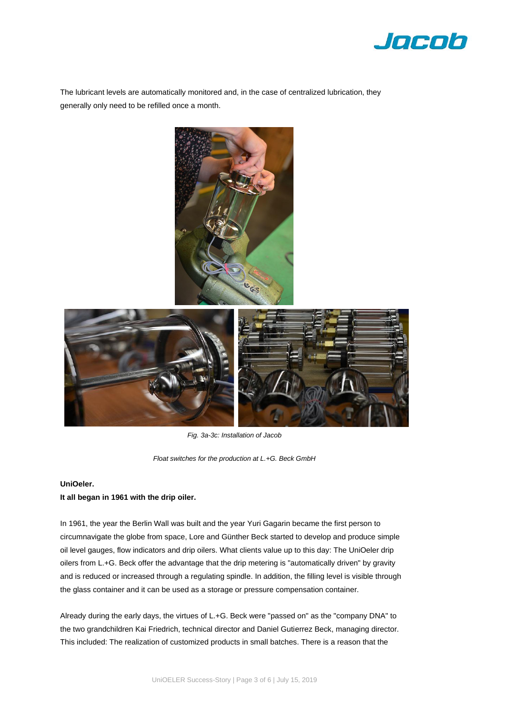

The lubricant levels are automatically monitored and, in the case of centralized lubrication, they generally only need to be refilled once a month.



*Fig. 3a-3c: Installation of Jacob* 

*Float switches for the production at L.+G. Beck GmbH*

### **UniOeler.**

## **It all began in 1961 with the drip oiler.**

In 1961, the year the Berlin Wall was built and the year Yuri Gagarin became the first person to circumnavigate the globe from space, Lore and Günther Beck started to develop and produce simple oil level gauges, flow indicators and drip oilers. What clients value up to this day: The UniOeler drip oilers from L.+G. Beck offer the advantage that the drip metering is "automatically driven" by gravity and is reduced or increased through a regulating spindle. In addition, the filling level is visible through the glass container and it can be used as a storage or pressure compensation container.

Already during the early days, the virtues of L.+G. Beck were "passed on" as the "company DNA" to the two grandchildren Kai Friedrich, technical director and Daniel Gutierrez Beck, managing director. This included: The realization of customized products in small batches. There is a reason that the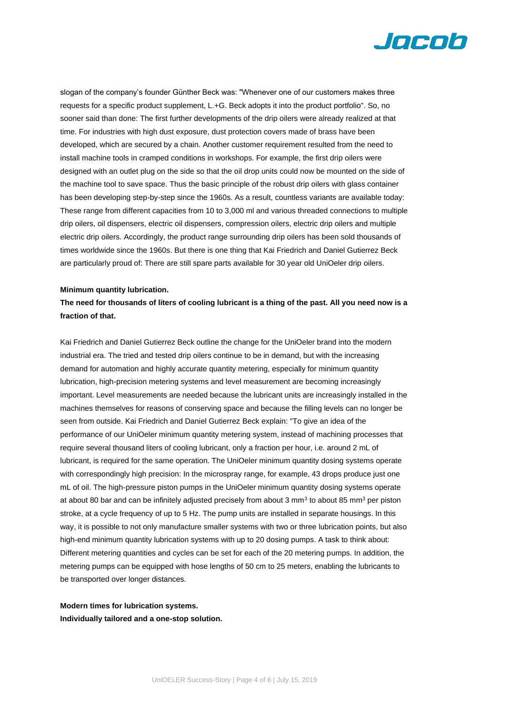

slogan of the company's founder Günther Beck was: "Whenever one of our customers makes three requests for a specific product supplement, L.+G. Beck adopts it into the product portfolio". So, no sooner said than done: The first further developments of the drip oilers were already realized at that time. For industries with high dust exposure, dust protection covers made of brass have been developed, which are secured by a chain. Another customer requirement resulted from the need to install machine tools in cramped conditions in workshops. For example, the first drip oilers were designed with an outlet plug on the side so that the oil drop units could now be mounted on the side of the machine tool to save space. Thus the basic principle of the robust drip oilers with glass container has been developing step-by-step since the 1960s. As a result, countless variants are available today: These range from different capacities from 10 to 3,000 ml and various threaded connections to multiple drip oilers, oil dispensers, electric oil dispensers, compression oilers, electric drip oilers and multiple electric drip oilers. Accordingly, the product range surrounding drip oilers has been sold thousands of times worldwide since the 1960s. But there is one thing that Kai Friedrich and Daniel Gutierrez Beck are particularly proud of: There are still spare parts available for 30 year old UniOeler drip oilers.

#### **Minimum quantity lubrication.**

## **The need for thousands of liters of cooling lubricant is a thing of the past. All you need now is a fraction of that.**

Kai Friedrich and Daniel Gutierrez Beck outline the change for the UniOeler brand into the modern industrial era. The tried and tested drip oilers continue to be in demand, but with the increasing demand for automation and highly accurate quantity metering, especially for minimum quantity lubrication, high-precision metering systems and level measurement are becoming increasingly important. Level measurements are needed because the lubricant units are increasingly installed in the machines themselves for reasons of conserving space and because the filling levels can no longer be seen from outside. Kai Friedrich and Daniel Gutierrez Beck explain: "To give an idea of the performance of our UniOeler minimum quantity metering system, instead of machining processes that require several thousand liters of cooling lubricant, only a fraction per hour, i.e. around 2 mL of lubricant, is required for the same operation. The UniOeler minimum quantity dosing systems operate with correspondingly high precision: In the microspray range, for example, 43 drops produce just one mL of oil. The high-pressure piston pumps in the UniOeler minimum quantity dosing systems operate at about 80 bar and can be infinitely adjusted precisely from about 3 mm $^3$  to about 85 mm $^3$  per piston  $\,$ stroke, at a cycle frequency of up to 5 Hz. The pump units are installed in separate housings. In this way, it is possible to not only manufacture smaller systems with two or three lubrication points, but also high-end minimum quantity lubrication systems with up to 20 dosing pumps. A task to think about: Different metering quantities and cycles can be set for each of the 20 metering pumps. In addition, the metering pumps can be equipped with hose lengths of 50 cm to 25 meters, enabling the lubricants to be transported over longer distances.

**Modern times for lubrication systems. Individually tailored and a one-stop solution.**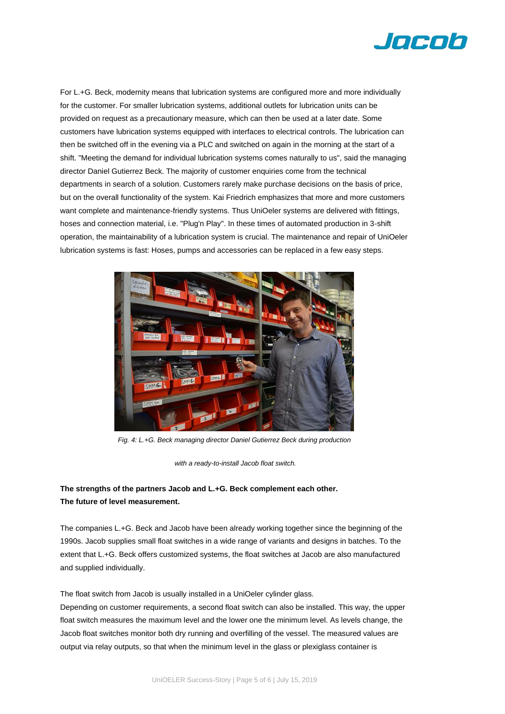

For L.+G. Beck, modernity means that lubrication systems are configured more and more individually for the customer. For smaller lubrication systems, additional outlets for lubrication units can be provided on request as a precautionary measure, which can then be used at a later date. Some customers have lubrication systems equipped with interfaces to electrical controls. The lubrication can then be switched off in the evening via a PLC and switched on again in the morning at the start of a shift. "Meeting the demand for individual lubrication systems comes naturally to us", said the managing director Daniel Gutierrez Beck. The majority of customer enquiries come from the technical departments in search of a solution. Customers rarely make purchase decisions on the basis of price, but on the overall functionality of the system. Kai Friedrich emphasizes that more and more customers want complete and maintenance-friendly systems. Thus UniOeler systems are delivered with fittings, hoses and connection material, i.e. "Plug'n Play". In these times of automated production in 3-shift operation, the maintainability of a lubrication system is crucial. The maintenance and repair of UniOeler lubrication systems is fast: Hoses, pumps and accessories can be replaced in a few easy steps.



*Fig. 4: L.+G. Beck managing director Daniel Gutierrez Beck during production*

*with a ready-to-install Jacob float switch.* 

# **The strengths of the partners Jacob and L.+G. Beck complement each other. The future of level measurement.**

The companies L.+G. Beck and Jacob have been already working together since the beginning of the 1990s. Jacob supplies small float switches in a wide range of variants and designs in batches. To the extent that L.+G. Beck offers customized systems, the float switches at Jacob are also manufactured and supplied individually.

The float switch from Jacob is usually installed in a UniOeler cylinder glass.

Depending on customer requirements, a second float switch can also be installed. This way, the upper float switch measures the maximum level and the lower one the minimum level. As levels change, the Jacob float switches monitor both dry running and overfilling of the vessel. The measured values are output via relay outputs, so that when the minimum level in the glass or plexiglass container is